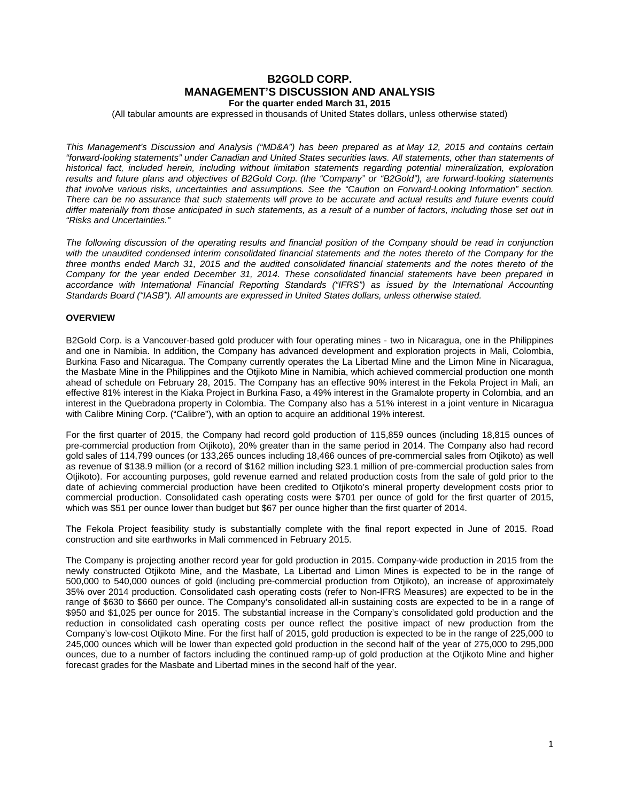# **B2GOLD CORP. MANAGEMENT'S DISCUSSION AND ANALYSIS For the quarter ended March 31, 2015**

(All tabular amounts are expressed in thousands of United States dollars, unless otherwise stated)

*This Management's Discussion and Analysis ("MD&A") has been prepared as at May 12, 2015 and contains certain "forward-looking statements" under Canadian and United States securities laws. All statements, other than statements of historical fact, included herein, including without limitation statements regarding potential mineralization, exploration results and future plans and objectives of B2Gold Corp. (the "Company" or "B2Gold"), are forward-looking statements that involve various risks, uncertainties and assumptions. See the "Caution on Forward-Looking Information" section. There can be no assurance that such statements will prove to be accurate and actual results and future events could differ materially from those anticipated in such statements, as a result of a number of factors, including those set out in "Risks and Uncertainties."*

*The following discussion of the operating results and financial position of the Company should be read in conjunction*  with the unaudited condensed interim consolidated financial statements and the notes thereto of the Company for the *three months ended March 31, 2015 and the audited consolidated financial statements and the notes thereto of the Company for the year ended December 31, 2014. These consolidated financial statements have been prepared in*  accordance with International Financial Reporting Standards ("IFRS") as issued by the International Accounting *Standards Board ("IASB"). All amounts are expressed in United States dollars, unless otherwise stated.*

# **OVERVIEW**

B2Gold Corp. is a Vancouver-based gold producer with four operating mines - two in Nicaragua, one in the Philippines and one in Namibia. In addition, the Company has advanced development and exploration projects in Mali, Colombia, Burkina Faso and Nicaragua. The Company currently operates the La Libertad Mine and the Limon Mine in Nicaragua, the Masbate Mine in the Philippines and the Otjikoto Mine in Namibia, which achieved commercial production one month ahead of schedule on February 28, 2015. The Company has an effective 90% interest in the Fekola Project in Mali, an effective 81% interest in the Kiaka Project in Burkina Faso, a 49% interest in the Gramalote property in Colombia, and an interest in the Quebradona property in Colombia. The Company also has a 51% interest in a joint venture in Nicaragua with Calibre Mining Corp. ("Calibre"), with an option to acquire an additional 19% interest.

For the first quarter of 2015, the Company had record gold production of 115,859 ounces (including 18,815 ounces of pre-commercial production from Otjikoto), 20% greater than in the same period in 2014. The Company also had record gold sales of 114,799 ounces (or 133,265 ounces including 18,466 ounces of pre-commercial sales from Otjikoto) as well as revenue of \$138.9 million (or a record of \$162 million including \$23.1 million of pre-commercial production sales from Otjikoto). For accounting purposes, gold revenue earned and related production costs from the sale of gold prior to the date of achieving commercial production have been credited to Otjikoto's mineral property development costs prior to commercial production. Consolidated cash operating costs were \$701 per ounce of gold for the first quarter of 2015, which was \$51 per ounce lower than budget but \$67 per ounce higher than the first quarter of 2014.

The Fekola Project feasibility study is substantially complete with the final report expected in June of 2015. Road construction and site earthworks in Mali commenced in February 2015.

The Company is projecting another record year for gold production in 2015. Company-wide production in 2015 from the newly constructed Otjikoto Mine, and the Masbate, La Libertad and Limon Mines is expected to be in the range of 500,000 to 540,000 ounces of gold (including pre-commercial production from Otjikoto), an increase of approximately 35% over 2014 production. Consolidated cash operating costs (refer to Non-IFRS Measures) are expected to be in the range of \$630 to \$660 per ounce. The Company's consolidated all-in sustaining costs are expected to be in a range of \$950 and \$1,025 per ounce for 2015. The substantial increase in the Company's consolidated gold production and the reduction in consolidated cash operating costs per ounce reflect the positive impact of new production from the Company's low-cost Otjikoto Mine. For the first half of 2015, gold production is expected to be in the range of 225,000 to 245,000 ounces which will be lower than expected gold production in the second half of the year of 275,000 to 295,000 ounces, due to a number of factors including the continued ramp-up of gold production at the Otjikoto Mine and higher forecast grades for the Masbate and Libertad mines in the second half of the year.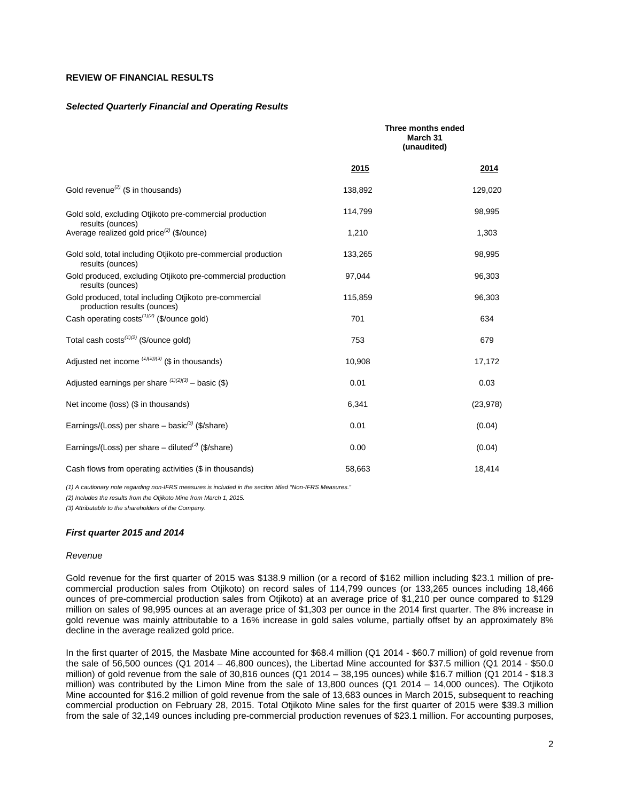# **REVIEW OF FINANCIAL RESULTS**

#### *Selected Quarterly Financial and Operating Results*

|                                                                                       |         | Three months ended<br>March 31<br>(unaudited) |
|---------------------------------------------------------------------------------------|---------|-----------------------------------------------|
|                                                                                       | 2015    | 2014                                          |
| Gold revenue <sup>(2)</sup> (\$ in thousands)                                         | 138,892 | 129,020                                       |
| Gold sold, excluding Otjikoto pre-commercial production<br>results (ounces)           | 114,799 | 98,995                                        |
| Average realized gold price <sup>(2)</sup> (\$/ounce)                                 | 1,210   | 1,303                                         |
| Gold sold, total including Otijkoto pre-commercial production<br>results (ounces)     | 133,265 | 98,995                                        |
| Gold produced, excluding Otjikoto pre-commercial production<br>results (ounces)       | 97.044  | 96,303                                        |
| Gold produced, total including Otjikoto pre-commercial<br>production results (ounces) | 115,859 | 96,303                                        |
| Cash operating costs <sup>(1)(2)</sup> (\$/ounce gold)                                | 701     | 634                                           |
| Total cash costs $(1)(2)$ (\$/ounce gold)                                             | 753     | 679                                           |
| Adjusted net income $(1)(2)/(3)$ (\$ in thousands)                                    | 10,908  | 17,172                                        |
| Adjusted earnings per share $(1)(2)(3)$ – basic (\$)                                  | 0.01    | 0.03                                          |
| Net income (loss) (\$ in thousands)                                                   | 6,341   | (23, 978)                                     |
| Earnings/(Loss) per share $-$ basic <sup>(3)</sup> (\$/share)                         | 0.01    | (0.04)                                        |
| Earnings/(Loss) per share $-$ diluted <sup>(3)</sup> (\$/share)                       | 0.00    | (0.04)                                        |
| Cash flows from operating activities (\$ in thousands)                                | 58,663  | 18,414                                        |

*(1) A cautionary note regarding non-IFRS measures is included in the section titled "Non-IFRS Measures."* 

*(2) Includes the results from the Otjikoto Mine from March 1, 2015.*

*(3) Attributable to the shareholders of the Company.*

#### *First quarter 2015 and 2014*

#### *Revenue*

Gold revenue for the first quarter of 2015 was \$138.9 million (or a record of \$162 million including \$23.1 million of precommercial production sales from Otjikoto) on record sales of 114,799 ounces (or 133,265 ounces including 18,466 ounces of pre-commercial production sales from Otjikoto) at an average price of \$1,210 per ounce compared to \$129 million on sales of 98,995 ounces at an average price of \$1,303 per ounce in the 2014 first quarter. The 8% increase in gold revenue was mainly attributable to a 16% increase in gold sales volume, partially offset by an approximately 8% decline in the average realized gold price.

In the first quarter of 2015, the Masbate Mine accounted for \$68.4 million (Q1 2014 - \$60.7 million) of gold revenue from the sale of 56,500 ounces (Q1 2014 – 46,800 ounces), the Libertad Mine accounted for \$37.5 million (Q1 2014 - \$50.0 million) of gold revenue from the sale of 30,816 ounces (Q1 2014 – 38,195 ounces) while \$16.7 million (Q1 2014 - \$18.3 million) was contributed by the Limon Mine from the sale of 13,800 ounces (Q1 2014 – 14,000 ounces). The Otjikoto Mine accounted for \$16.2 million of gold revenue from the sale of 13,683 ounces in March 2015, subsequent to reaching commercial production on February 28, 2015. Total Otjikoto Mine sales for the first quarter of 2015 were \$39.3 million from the sale of 32,149 ounces including pre-commercial production revenues of \$23.1 million. For accounting purposes,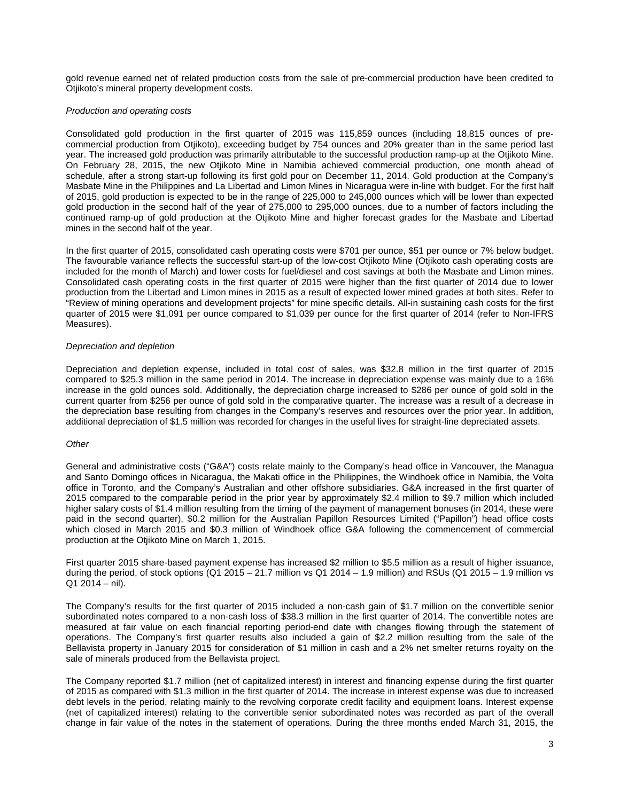gold revenue earned net of related production costs from the sale of pre-commercial production have been credited to Otjikoto's mineral property development costs.

#### *Production and operating costs*

Consolidated gold production in the first quarter of 2015 was 115,859 ounces (including 18,815 ounces of precommercial production from Otjikoto), exceeding budget by 754 ounces and 20% greater than in the same period last year. The increased gold production was primarily attributable to the successful production ramp-up at the Otjikoto Mine. On February 28, 2015, the new Otjikoto Mine in Namibia achieved commercial production, one month ahead of schedule, after a strong start-up following its first gold pour on December 11, 2014. Gold production at the Company's Masbate Mine in the Philippines and La Libertad and Limon Mines in Nicaragua were in-line with budget. For the first half of 2015, gold production is expected to be in the range of 225,000 to 245,000 ounces which will be lower than expected gold production in the second half of the year of 275,000 to 295,000 ounces, due to a number of factors including the continued ramp-up of gold production at the Otjikoto Mine and higher forecast grades for the Masbate and Libertad mines in the second half of the year.

In the first quarter of 2015, consolidated cash operating costs were \$701 per ounce, \$51 per ounce or 7% below budget. The favourable variance reflects the successful start-up of the low-cost Otjikoto Mine (Otjikoto cash operating costs are included for the month of March) and lower costs for fuel/diesel and cost savings at both the Masbate and Limon mines. Consolidated cash operating costs in the first quarter of 2015 were higher than the first quarter of 2014 due to lower production from the Libertad and Limon mines in 2015 as a result of expected lower mined grades at both sites. Refer to "Review of mining operations and development projects" for mine specific details. All-in sustaining cash costs for the first quarter of 2015 were \$1,091 per ounce compared to \$1,039 per ounce for the first quarter of 2014 (refer to Non-IFRS Measures).

#### *Depreciation and depletion*

Depreciation and depletion expense, included in total cost of sales, was \$32.8 million in the first quarter of 2015 compared to \$25.3 million in the same period in 2014. The increase in depreciation expense was mainly due to a 16% increase in the gold ounces sold. Additionally, the depreciation charge increased to \$286 per ounce of gold sold in the current quarter from \$256 per ounce of gold sold in the comparative quarter. The increase was a result of a decrease in the depreciation base resulting from changes in the Company's reserves and resources over the prior year. In addition, additional depreciation of \$1.5 million was recorded for changes in the useful lives for straight-line depreciated assets.

#### *Other*

General and administrative costs ("G&A") costs relate mainly to the Company's head office in Vancouver, the Managua and Santo Domingo offices in Nicaragua, the Makati office in the Philippines, the Windhoek office in Namibia, the Volta office in Toronto, and the Company's Australian and other offshore subsidiaries. G&A increased in the first quarter of 2015 compared to the comparable period in the prior year by approximately \$2.4 million to \$9.7 million which included higher salary costs of \$1.4 million resulting from the timing of the payment of management bonuses (in 2014, these were paid in the second quarter), \$0.2 million for the Australian Papillon Resources Limited ("Papillon") head office costs which closed in March 2015 and \$0.3 million of Windhoek office G&A following the commencement of commercial production at the Otjikoto Mine on March 1, 2015.

First quarter 2015 share-based payment expense has increased \$2 million to \$5.5 million as a result of higher issuance, during the period, of stock options (Q1 2015 – 21.7 million vs Q1 2014 – 1.9 million) and RSUs (Q1 2015 – 1.9 million vs  $Q1 2014 -$  nil).

The Company's results for the first quarter of 2015 included a non-cash gain of \$1.7 million on the convertible senior subordinated notes compared to a non-cash loss of \$38.3 million in the first quarter of 2014. The convertible notes are measured at fair value on each financial reporting period-end date with changes flowing through the statement of operations. The Company's first quarter results also included a gain of \$2.2 million resulting from the sale of the Bellavista property in January 2015 for consideration of \$1 million in cash and a 2% net smelter returns royalty on the sale of minerals produced from the Bellavista project.

The Company reported \$1.7 million (net of capitalized interest) in interest and financing expense during the first quarter of 2015 as compared with \$1.3 million in the first quarter of 2014. The increase in interest expense was due to increased debt levels in the period, relating mainly to the revolving corporate credit facility and equipment loans. Interest expense (net of capitalized interest) relating to the convertible senior subordinated notes was recorded as part of the overall change in fair value of the notes in the statement of operations. During the three months ended March 31, 2015, the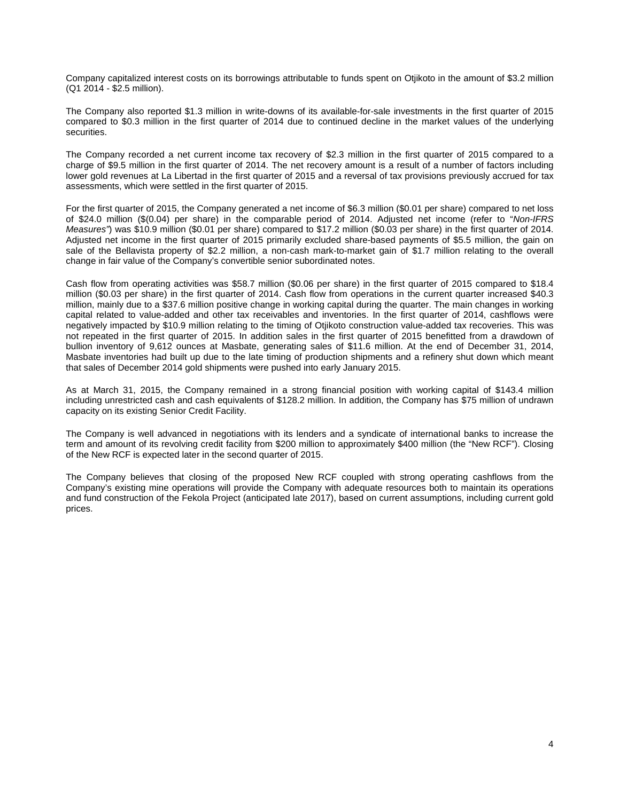Company capitalized interest costs on its borrowings attributable to funds spent on Otjikoto in the amount of \$3.2 million (Q1 2014 - \$2.5 million).

The Company also reported \$1.3 million in write-downs of its available-for-sale investments in the first quarter of 2015 compared to \$0.3 million in the first quarter of 2014 due to continued decline in the market values of the underlying securities.

The Company recorded a net current income tax recovery of \$2.3 million in the first quarter of 2015 compared to a charge of \$9.5 million in the first quarter of 2014. The net recovery amount is a result of a number of factors including lower gold revenues at La Libertad in the first quarter of 2015 and a reversal of tax provisions previously accrued for tax assessments, which were settled in the first quarter of 2015.

For the first quarter of 2015, the Company generated a net income of \$6.3 million (\$0.01 per share) compared to net loss of \$24.0 million (\$(0.04) per share) in the comparable period of 2014. Adjusted net income (refer to "*Non-IFRS Measures"*) was \$10.9 million (\$0.01 per share) compared to \$17.2 million (\$0.03 per share) in the first quarter of 2014. Adjusted net income in the first quarter of 2015 primarily excluded share-based payments of \$5.5 million, the gain on sale of the Bellavista property of \$2.2 million, a non-cash mark-to-market gain of \$1.7 million relating to the overall change in fair value of the Company's convertible senior subordinated notes.

Cash flow from operating activities was \$58.7 million (\$0.06 per share) in the first quarter of 2015 compared to \$18.4 million (\$0.03 per share) in the first quarter of 2014. Cash flow from operations in the current quarter increased \$40.3 million, mainly due to a \$37.6 million positive change in working capital during the quarter. The main changes in working capital related to value-added and other tax receivables and inventories. In the first quarter of 2014, cashflows were negatively impacted by \$10.9 million relating to the timing of Otjikoto construction value-added tax recoveries. This was not repeated in the first quarter of 2015. In addition sales in the first quarter of 2015 benefitted from a drawdown of bullion inventory of 9,612 ounces at Masbate, generating sales of \$11.6 million. At the end of December 31, 2014, Masbate inventories had built up due to the late timing of production shipments and a refinery shut down which meant that sales of December 2014 gold shipments were pushed into early January 2015.

As at March 31, 2015, the Company remained in a strong financial position with working capital of \$143.4 million including unrestricted cash and cash equivalents of \$128.2 million. In addition, the Company has \$75 million of undrawn capacity on its existing Senior Credit Facility.

The Company is well advanced in negotiations with its lenders and a syndicate of international banks to increase the term and amount of its revolving credit facility from \$200 million to approximately \$400 million (the "New RCF"). Closing of the New RCF is expected later in the second quarter of 2015.

The Company believes that closing of the proposed New RCF coupled with strong operating cashflows from the Company's existing mine operations will provide the Company with adequate resources both to maintain its operations and fund construction of the Fekola Project (anticipated late 2017), based on current assumptions, including current gold prices.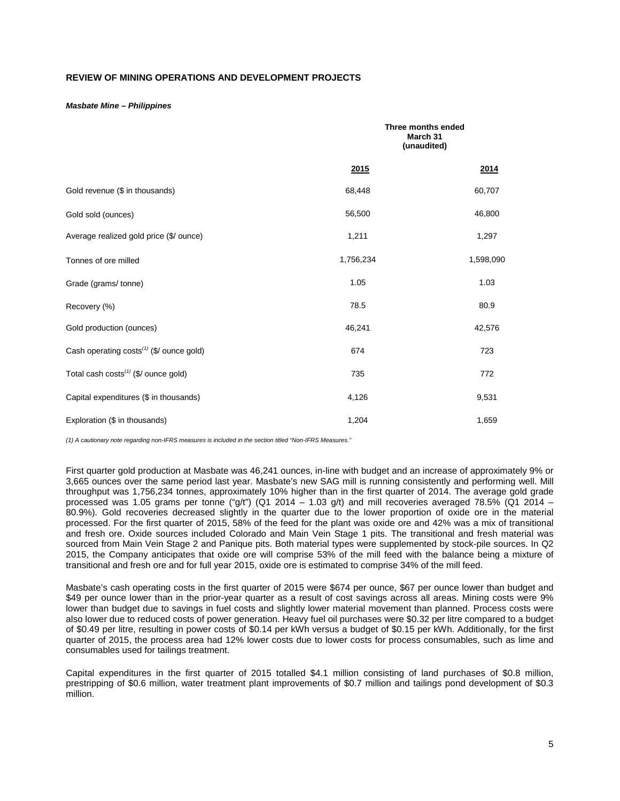# **REVIEW OF MINING OPERATIONS AND DEVELOPMENT PROJECTS**

#### *Masbate Mine – Philippines*

|                                                      |           | Three months ended<br>March 31<br>(unaudited) |  |  |
|------------------------------------------------------|-----------|-----------------------------------------------|--|--|
|                                                      | 2015      | 2014                                          |  |  |
| Gold revenue (\$ in thousands)                       | 68,448    | 60,707                                        |  |  |
| Gold sold (ounces)                                   | 56,500    | 46,800                                        |  |  |
| Average realized gold price (\$/ ounce)              | 1,211     | 1,297                                         |  |  |
| Tonnes of ore milled                                 | 1,756,234 | 1,598,090                                     |  |  |
| Grade (grams/tonne)                                  | 1.05      | 1.03                                          |  |  |
| Recovery (%)                                         | 78.5      | 80.9                                          |  |  |
| Gold production (ounces)                             | 46,241    | 42,576                                        |  |  |
| Cash operating costs <sup>(1)</sup> (\$/ ounce gold) | 674       | 723                                           |  |  |
| Total cash costs <sup>(1)</sup> (\$/ ounce gold)     | 735       | 772                                           |  |  |
| Capital expenditures (\$ in thousands)               | 4,126     | 9,531                                         |  |  |
| Exploration (\$ in thousands)                        | 1,204     | 1,659                                         |  |  |

*(1) A cautionary note regarding non-IFRS measures is included in the section titled "Non-IFRS Measures."* 

First quarter gold production at Masbate was 46,241 ounces, in-line with budget and an increase of approximately 9% or 3,665 ounces over the same period last year. Masbate's new SAG mill is running consistently and performing well. Mill throughput was 1,756,234 tonnes, approximately 10% higher than in the first quarter of 2014. The average gold grade processed was 1.05 grams per tonne ("g/t") (Q1 2014 – 1.03 g/t) and mill recoveries averaged 78.5% (Q1 2014 – 80.9%). Gold recoveries decreased slightly in the quarter due to the lower proportion of oxide ore in the material processed. For the first quarter of 2015, 58% of the feed for the plant was oxide ore and 42% was a mix of transitional and fresh ore. Oxide sources included Colorado and Main Vein Stage 1 pits. The transitional and fresh material was sourced from Main Vein Stage 2 and Panique pits. Both material types were supplemented by stock-pile sources. In Q2 2015, the Company anticipates that oxide ore will comprise 53% of the mill feed with the balance being a mixture of transitional and fresh ore and for full year 2015, oxide ore is estimated to comprise 34% of the mill feed.

Masbate's cash operating costs in the first quarter of 2015 were \$674 per ounce, \$67 per ounce lower than budget and \$49 per ounce lower than in the prior-year quarter as a result of cost savings across all areas. Mining costs were 9% lower than budget due to savings in fuel costs and slightly lower material movement than planned. Process costs were also lower due to reduced costs of power generation. Heavy fuel oil purchases were \$0.32 per litre compared to a budget of \$0.49 per litre, resulting in power costs of \$0.14 per kWh versus a budget of \$0.15 per kWh. Additionally, for the first quarter of 2015, the process area had 12% lower costs due to lower costs for process consumables, such as lime and consumables used for tailings treatment.

Capital expenditures in the first quarter of 2015 totalled \$4.1 million consisting of land purchases of \$0.8 million, prestripping of \$0.6 million, water treatment plant improvements of \$0.7 million and tailings pond development of \$0.3 million.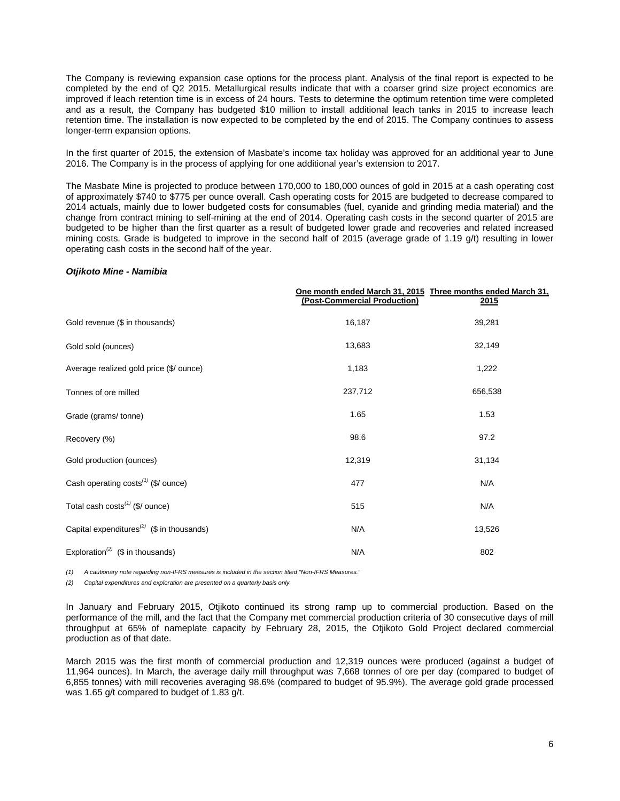The Company is reviewing expansion case options for the process plant. Analysis of the final report is expected to be completed by the end of Q2 2015. Metallurgical results indicate that with a coarser grind size project economics are improved if leach retention time is in excess of 24 hours. Tests to determine the optimum retention time were completed and as a result, the Company has budgeted \$10 million to install additional leach tanks in 2015 to increase leach retention time. The installation is now expected to be completed by the end of 2015. The Company continues to assess longer-term expansion options.

In the first quarter of 2015, the extension of Masbate's income tax holiday was approved for an additional year to June 2016. The Company is in the process of applying for one additional year's extension to 2017.

The Masbate Mine is projected to produce between 170,000 to 180,000 ounces of gold in 2015 at a cash operating cost of approximately \$740 to \$775 per ounce overall. Cash operating costs for 2015 are budgeted to decrease compared to 2014 actuals, mainly due to lower budgeted costs for consumables (fuel, cyanide and grinding media material) and the change from contract mining to self-mining at the end of 2014. Operating cash costs in the second quarter of 2015 are budgeted to be higher than the first quarter as a result of budgeted lower grade and recoveries and related increased mining costs. Grade is budgeted to improve in the second half of 2015 (average grade of 1.19 g/t) resulting in lower operating cash costs in the second half of the year.

#### *Otjikoto Mine - Namibia*

|                                                                    | One month ended March 31, 2015 Three months ended March 31,<br>(Post-Commercial Production) | 2015    |
|--------------------------------------------------------------------|---------------------------------------------------------------------------------------------|---------|
| Gold revenue (\$ in thousands)                                     | 16,187                                                                                      | 39,281  |
| Gold sold (ounces)                                                 | 13,683                                                                                      | 32,149  |
| Average realized gold price (\$/ ounce)                            | 1,183                                                                                       | 1,222   |
| Tonnes of ore milled                                               | 237,712                                                                                     | 656,538 |
| Grade (grams/tonne)                                                | 1.65                                                                                        | 1.53    |
| Recovery (%)                                                       | 98.6                                                                                        | 97.2    |
| Gold production (ounces)                                           | 12,319                                                                                      | 31,134  |
| Cash operating costs <sup>(1)</sup> (\$/ ounce)                    | 477                                                                                         | N/A     |
| Total cash $costs^{(1)}$ (\$/ ounce)                               | 515                                                                                         | N/A     |
| Capital expenditures <sup><math>(2)</math></sup> (\$ in thousands) | N/A                                                                                         | 13,526  |
| Exploration <sup>(2)</sup> (\$ in thousands)                       | N/A                                                                                         | 802     |

*(1) A cautionary note regarding non-IFRS measures is included in the section titled "Non-IFRS Measures."*

*(2) Capital expenditures and exploration are presented on a quarterly basis only.*

In January and February 2015, Otjikoto continued its strong ramp up to commercial production. Based on the performance of the mill, and the fact that the Company met commercial production criteria of 30 consecutive days of mill throughput at 65% of nameplate capacity by February 28, 2015, the Otjikoto Gold Project declared commercial production as of that date.

March 2015 was the first month of commercial production and 12,319 ounces were produced (against a budget of 11,964 ounces). In March, the average daily mill throughput was 7,668 tonnes of ore per day (compared to budget of 6,855 tonnes) with mill recoveries averaging 98.6% (compared to budget of 95.9%). The average gold grade processed was 1.65 g/t compared to budget of 1.83 g/t.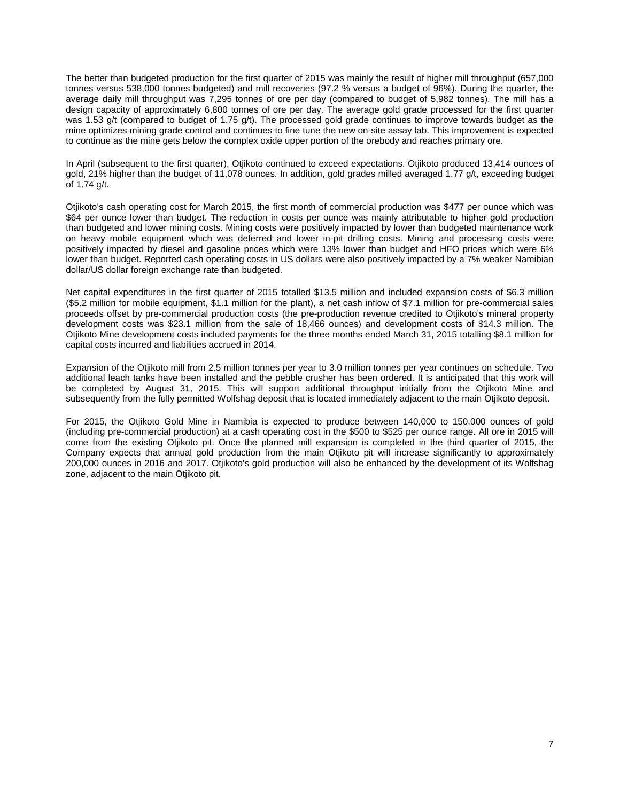The better than budgeted production for the first quarter of 2015 was mainly the result of higher mill throughput (657,000 tonnes versus 538,000 tonnes budgeted) and mill recoveries (97.2 % versus a budget of 96%). During the quarter, the average daily mill throughput was 7,295 tonnes of ore per day (compared to budget of 5,982 tonnes). The mill has a design capacity of approximately 6,800 tonnes of ore per day. The average gold grade processed for the first quarter was 1.53 g/t (compared to budget of 1.75 g/t). The processed gold grade continues to improve towards budget as the mine optimizes mining grade control and continues to fine tune the new on-site assay lab. This improvement is expected to continue as the mine gets below the complex oxide upper portion of the orebody and reaches primary ore.

In April (subsequent to the first quarter), Otjikoto continued to exceed expectations. Otjikoto produced 13,414 ounces of gold, 21% higher than the budget of 11,078 ounces. In addition, gold grades milled averaged 1.77 g/t, exceeding budget of 1.74 g/t.

Otjikoto's cash operating cost for March 2015, the first month of commercial production was \$477 per ounce which was \$64 per ounce lower than budget. The reduction in costs per ounce was mainly attributable to higher gold production than budgeted and lower mining costs. Mining costs were positively impacted by lower than budgeted maintenance work on heavy mobile equipment which was deferred and lower in-pit drilling costs. Mining and processing costs were positively impacted by diesel and gasoline prices which were 13% lower than budget and HFO prices which were 6% lower than budget. Reported cash operating costs in US dollars were also positively impacted by a 7% weaker Namibian dollar/US dollar foreign exchange rate than budgeted.

Net capital expenditures in the first quarter of 2015 totalled \$13.5 million and included expansion costs of \$6.3 million (\$5.2 million for mobile equipment, \$1.1 million for the plant), a net cash inflow of \$7.1 million for pre-commercial sales proceeds offset by pre-commercial production costs (the pre-production revenue credited to Otjikoto's mineral property development costs was \$23.1 million from the sale of 18,466 ounces) and development costs of \$14.3 million. The Otjikoto Mine development costs included payments for the three months ended March 31, 2015 totalling \$8.1 million for capital costs incurred and liabilities accrued in 2014.

Expansion of the Otjikoto mill from 2.5 million tonnes per year to 3.0 million tonnes per year continues on schedule. Two additional leach tanks have been installed and the pebble crusher has been ordered. It is anticipated that this work will be completed by August 31, 2015. This will support additional throughput initially from the Otjikoto Mine and subsequently from the fully permitted Wolfshag deposit that is located immediately adjacent to the main Otjikoto deposit.

For 2015, the Otjikoto Gold Mine in Namibia is expected to produce between 140,000 to 150,000 ounces of gold (including pre-commercial production) at a cash operating cost in the \$500 to \$525 per ounce range. All ore in 2015 will come from the existing Otjikoto pit. Once the planned mill expansion is completed in the third quarter of 2015, the Company expects that annual gold production from the main Otjikoto pit will increase significantly to approximately 200,000 ounces in 2016 and 2017. Otjikoto's gold production will also be enhanced by the development of its Wolfshag zone, adjacent to the main Otjikoto pit.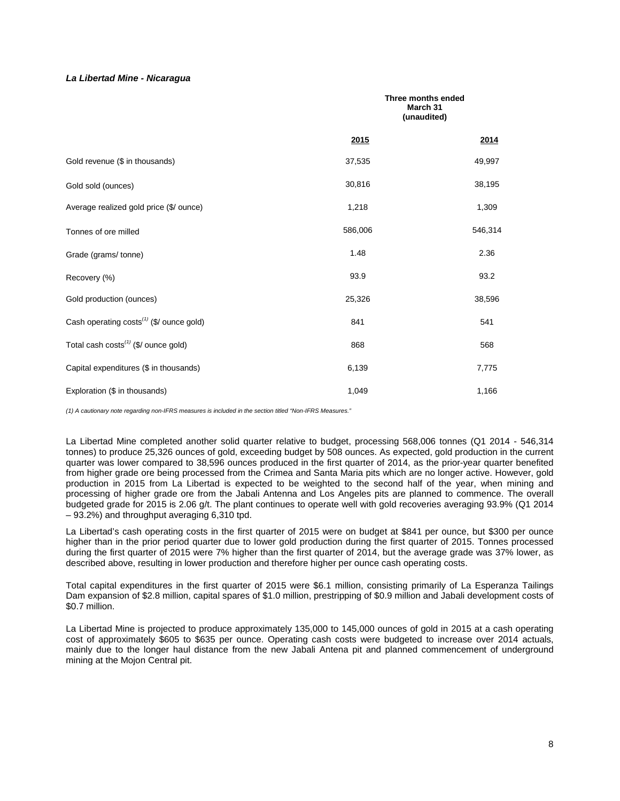## *La Libertad Mine - Nicaragua*

|                                                      | Three months ended<br>March 31<br>(unaudited) |         |
|------------------------------------------------------|-----------------------------------------------|---------|
|                                                      | 2015                                          | 2014    |
| Gold revenue (\$ in thousands)                       | 37,535                                        | 49,997  |
| Gold sold (ounces)                                   | 30,816                                        | 38,195  |
| Average realized gold price (\$/ ounce)              | 1,218                                         | 1,309   |
| Tonnes of ore milled                                 | 586,006                                       | 546,314 |
| Grade (grams/tonne)                                  | 1.48                                          | 2.36    |
| Recovery (%)                                         | 93.9                                          | 93.2    |
| Gold production (ounces)                             | 25,326                                        | 38,596  |
| Cash operating costs <sup>(1)</sup> (\$/ ounce gold) | 841                                           | 541     |
| Total cash costs <sup>(1)</sup> (\$/ ounce gold)     | 868                                           | 568     |
| Capital expenditures (\$ in thousands)               | 6,139                                         | 7,775   |
| Exploration (\$ in thousands)                        | 1,049                                         | 1,166   |

*(1) A cautionary note regarding non-IFRS measures is included in the section titled "Non-IFRS Measures."* 

La Libertad Mine completed another solid quarter relative to budget, processing 568,006 tonnes (Q1 2014 - 546,314 tonnes) to produce 25,326 ounces of gold, exceeding budget by 508 ounces. As expected, gold production in the current quarter was lower compared to 38,596 ounces produced in the first quarter of 2014, as the prior-year quarter benefited from higher grade ore being processed from the Crimea and Santa Maria pits which are no longer active. However, gold production in 2015 from La Libertad is expected to be weighted to the second half of the year, when mining and processing of higher grade ore from the Jabali Antenna and Los Angeles pits are planned to commence. The overall budgeted grade for 2015 is 2.06 g/t. The plant continues to operate well with gold recoveries averaging 93.9% (Q1 2014 – 93.2%) and throughput averaging 6,310 tpd.

La Libertad's cash operating costs in the first quarter of 2015 were on budget at \$841 per ounce, but \$300 per ounce higher than in the prior period quarter due to lower gold production during the first quarter of 2015. Tonnes processed during the first quarter of 2015 were 7% higher than the first quarter of 2014, but the average grade was 37% lower, as described above, resulting in lower production and therefore higher per ounce cash operating costs.

Total capital expenditures in the first quarter of 2015 were \$6.1 million, consisting primarily of La Esperanza Tailings Dam expansion of \$2.8 million, capital spares of \$1.0 million, prestripping of \$0.9 million and Jabali development costs of \$0.7 million.

La Libertad Mine is projected to produce approximately 135,000 to 145,000 ounces of gold in 2015 at a cash operating cost of approximately \$605 to \$635 per ounce. Operating cash costs were budgeted to increase over 2014 actuals, mainly due to the longer haul distance from the new Jabali Antena pit and planned commencement of underground mining at the Mojon Central pit.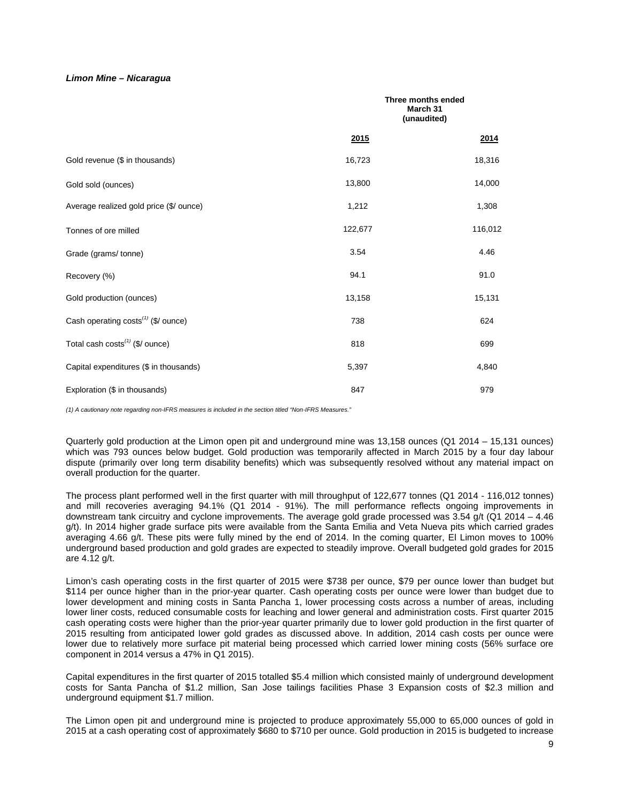#### *Limon Mine – Nicaragua*

|                                                 |         | Three months ended<br>March 31<br>(unaudited) |
|-------------------------------------------------|---------|-----------------------------------------------|
|                                                 | 2015    | 2014                                          |
| Gold revenue (\$ in thousands)                  | 16,723  | 18,316                                        |
| Gold sold (ounces)                              | 13,800  | 14,000                                        |
| Average realized gold price (\$/ ounce)         | 1,212   | 1,308                                         |
| Tonnes of ore milled                            | 122,677 | 116,012                                       |
| Grade (grams/tonne)                             | 3.54    | 4.46                                          |
| Recovery (%)                                    | 94.1    | 91.0                                          |
| Gold production (ounces)                        | 13,158  | 15,131                                        |
| Cash operating costs <sup>(1)</sup> (\$/ ounce) | 738     | 624                                           |
| Total cash costs $(1)$ (\$/ ounce)              | 818     | 699                                           |
| Capital expenditures (\$ in thousands)          | 5,397   | 4,840                                         |
| Exploration (\$ in thousands)                   | 847     | 979                                           |

*(1) A cautionary note regarding non-IFRS measures is included in the section titled "Non-IFRS Measures."*

Quarterly gold production at the Limon open pit and underground mine was 13,158 ounces (Q1 2014 – 15,131 ounces) which was 793 ounces below budget. Gold production was temporarily affected in March 2015 by a four day labour dispute (primarily over long term disability benefits) which was subsequently resolved without any material impact on overall production for the quarter.

The process plant performed well in the first quarter with mill throughput of 122,677 tonnes (Q1 2014 - 116,012 tonnes) and mill recoveries averaging 94.1% (Q1 2014 - 91%). The mill performance reflects ongoing improvements in downstream tank circuitry and cyclone improvements. The average gold grade processed was 3.54 g/t (Q1 2014 – 4.46 g/t). In 2014 higher grade surface pits were available from the Santa Emilia and Veta Nueva pits which carried grades averaging 4.66 g/t. These pits were fully mined by the end of 2014. In the coming quarter, El Limon moves to 100% underground based production and gold grades are expected to steadily improve. Overall budgeted gold grades for 2015 are 4.12 g/t.

Limon's cash operating costs in the first quarter of 2015 were \$738 per ounce, \$79 per ounce lower than budget but \$114 per ounce higher than in the prior-year quarter. Cash operating costs per ounce were lower than budget due to lower development and mining costs in Santa Pancha 1, lower processing costs across a number of areas, including lower liner costs, reduced consumable costs for leaching and lower general and administration costs. First quarter 2015 cash operating costs were higher than the prior-year quarter primarily due to lower gold production in the first quarter of 2015 resulting from anticipated lower gold grades as discussed above. In addition, 2014 cash costs per ounce were lower due to relatively more surface pit material being processed which carried lower mining costs (56% surface ore component in 2014 versus a 47% in Q1 2015).

Capital expenditures in the first quarter of 2015 totalled \$5.4 million which consisted mainly of underground development costs for Santa Pancha of \$1.2 million, San Jose tailings facilities Phase 3 Expansion costs of \$2.3 million and underground equipment \$1.7 million.

The Limon open pit and underground mine is projected to produce approximately 55,000 to 65,000 ounces of gold in 2015 at a cash operating cost of approximately \$680 to \$710 per ounce. Gold production in 2015 is budgeted to increase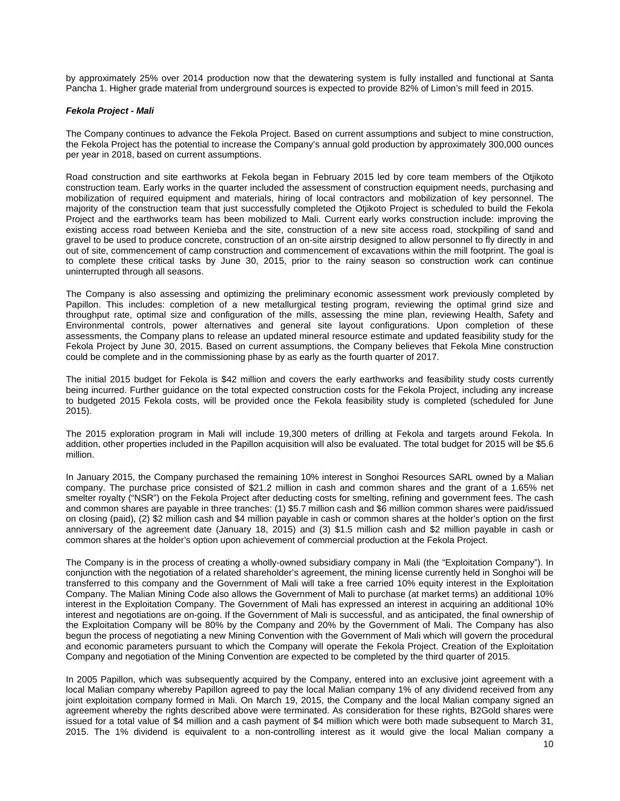by approximately 25% over 2014 production now that the dewatering system is fully installed and functional at Santa Pancha 1. Higher grade material from underground sources is expected to provide 82% of Limon's mill feed in 2015.

#### *Fekola Project - Mali*

The Company continues to advance the Fekola Project. Based on current assumptions and subject to mine construction, the Fekola Project has the potential to increase the Company's annual gold production by approximately 300,000 ounces per year in 2018, based on current assumptions.

Road construction and site earthworks at Fekola began in February 2015 led by core team members of the Otjikoto construction team. Early works in the quarter included the assessment of construction equipment needs, purchasing and mobilization of required equipment and materials, hiring of local contractors and mobilization of key personnel. The majority of the construction team that just successfully completed the Otjikoto Project is scheduled to build the Fekola Project and the earthworks team has been mobilized to Mali. Current early works construction include: improving the existing access road between Kenieba and the site, construction of a new site access road, stockpiling of sand and gravel to be used to produce concrete, construction of an on-site airstrip designed to allow personnel to fly directly in and out of site, commencement of camp construction and commencement of excavations within the mill footprint. The goal is to complete these critical tasks by June 30, 2015, prior to the rainy season so construction work can continue uninterrupted through all seasons.

The Company is also assessing and optimizing the preliminary economic assessment work previously completed by Papillon. This includes: completion of a new metallurgical testing program, reviewing the optimal grind size and throughput rate, optimal size and configuration of the mills, assessing the mine plan, reviewing Health, Safety and Environmental controls, power alternatives and general site layout configurations. Upon completion of these assessments, the Company plans to release an updated mineral resource estimate and updated feasibility study for the Fekola Project by June 30, 2015. Based on current assumptions, the Company believes that Fekola Mine construction could be complete and in the commissioning phase by as early as the fourth quarter of 2017.

The initial 2015 budget for Fekola is \$42 million and covers the early earthworks and feasibility study costs currently being incurred. Further guidance on the total expected construction costs for the Fekola Project, including any increase to budgeted 2015 Fekola costs, will be provided once the Fekola feasibility study is completed (scheduled for June 2015).

The 2015 exploration program in Mali will include 19,300 meters of drilling at Fekola and targets around Fekola. In addition, other properties included in the Papillon acquisition will also be evaluated. The total budget for 2015 will be \$5.6 million.

In January 2015, the Company purchased the remaining 10% interest in Songhoi Resources SARL owned by a Malian company. The purchase price consisted of \$21.2 million in cash and common shares and the grant of a 1.65% net smelter royalty ("NSR") on the Fekola Project after deducting costs for smelting, refining and government fees. The cash and common shares are payable in three tranches: (1) \$5.7 million cash and \$6 million common shares were paid/issued on closing (paid), (2) \$2 million cash and \$4 million payable in cash or common shares at the holder's option on the first anniversary of the agreement date (January 18, 2015) and (3) \$1.5 million cash and \$2 million payable in cash or common shares at the holder's option upon achievement of commercial production at the Fekola Project.

The Company is in the process of creating a wholly-owned subsidiary company in Mali (the "Exploitation Company"). In conjunction with the negotiation of a related shareholder's agreement, the mining license currently held in Songhoi will be transferred to this company and the Government of Mali will take a free carried 10% equity interest in the Exploitation Company. The Malian Mining Code also allows the Government of Mali to purchase (at market terms) an additional 10% interest in the Exploitation Company. The Government of Mali has expressed an interest in acquiring an additional 10% interest and negotiations are on-going. If the Government of Mali is successful, and as anticipated, the final ownership of the Exploitation Company will be 80% by the Company and 20% by the Government of Mali. The Company has also begun the process of negotiating a new Mining Convention with the Government of Mali which will govern the procedural and economic parameters pursuant to which the Company will operate the Fekola Project. Creation of the Exploitation Company and negotiation of the Mining Convention are expected to be completed by the third quarter of 2015.

In 2005 Papillon, which was subsequently acquired by the Company, entered into an exclusive joint agreement with a local Malian company whereby Papillon agreed to pay the local Malian company 1% of any dividend received from any joint exploitation company formed in Mali. On March 19, 2015, the Company and the local Malian company signed an agreement whereby the rights described above were terminated. As consideration for these rights, B2Gold shares were issued for a total value of \$4 million and a cash payment of \$4 million which were both made subsequent to March 31, 2015. The 1% dividend is equivalent to a non-controlling interest as it would give the local Malian company a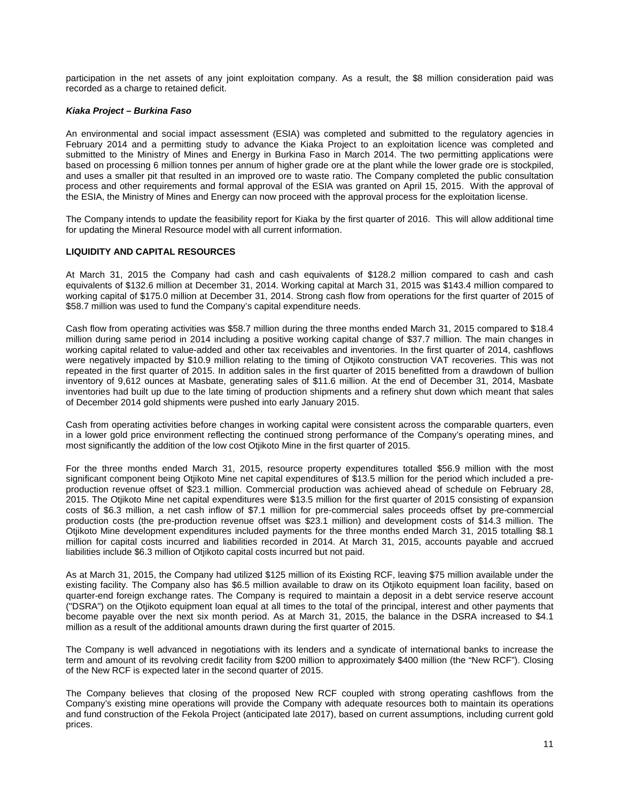participation in the net assets of any joint exploitation company. As a result, the \$8 million consideration paid was recorded as a charge to retained deficit.

#### *Kiaka Project – Burkina Faso*

An environmental and social impact assessment (ESIA) was completed and submitted to the regulatory agencies in February 2014 and a permitting study to advance the Kiaka Project to an exploitation licence was completed and submitted to the Ministry of Mines and Energy in Burkina Faso in March 2014. The two permitting applications were based on processing 6 million tonnes per annum of higher grade ore at the plant while the lower grade ore is stockpiled, and uses a smaller pit that resulted in an improved ore to waste ratio. The Company completed the public consultation process and other requirements and formal approval of the ESIA was granted on April 15, 2015. With the approval of the ESIA, the Ministry of Mines and Energy can now proceed with the approval process for the exploitation license.

The Company intends to update the feasibility report for Kiaka by the first quarter of 2016. This will allow additional time for updating the Mineral Resource model with all current information.

#### **LIQUIDITY AND CAPITAL RESOURCES**

At March 31, 2015 the Company had cash and cash equivalents of \$128.2 million compared to cash and cash equivalents of \$132.6 million at December 31, 2014. Working capital at March 31, 2015 was \$143.4 million compared to working capital of \$175.0 million at December 31, 2014. Strong cash flow from operations for the first quarter of 2015 of \$58.7 million was used to fund the Company's capital expenditure needs.

Cash flow from operating activities was \$58.7 million during the three months ended March 31, 2015 compared to \$18.4 million during same period in 2014 including a positive working capital change of \$37.7 million. The main changes in working capital related to value-added and other tax receivables and inventories. In the first quarter of 2014, cashflows were negatively impacted by \$10.9 million relating to the timing of Otjikoto construction VAT recoveries. This was not repeated in the first quarter of 2015. In addition sales in the first quarter of 2015 benefitted from a drawdown of bullion inventory of 9,612 ounces at Masbate, generating sales of \$11.6 million. At the end of December 31, 2014, Masbate inventories had built up due to the late timing of production shipments and a refinery shut down which meant that sales of December 2014 gold shipments were pushed into early January 2015.

Cash from operating activities before changes in working capital were consistent across the comparable quarters, even in a lower gold price environment reflecting the continued strong performance of the Company's operating mines, and most significantly the addition of the low cost Otjikoto Mine in the first quarter of 2015.

For the three months ended March 31, 2015, resource property expenditures totalled \$56.9 million with the most significant component being Otjikoto Mine net capital expenditures of \$13.5 million for the period which included a preproduction revenue offset of \$23.1 million. Commercial production was achieved ahead of schedule on February 28, 2015. The Otjikoto Mine net capital expenditures were \$13.5 million for the first quarter of 2015 consisting of expansion costs of \$6.3 million, a net cash inflow of \$7.1 million for pre-commercial sales proceeds offset by pre-commercial production costs (the pre-production revenue offset was \$23.1 million) and development costs of \$14.3 million. The Otjikoto Mine development expenditures included payments for the three months ended March 31, 2015 totalling \$8.1 million for capital costs incurred and liabilities recorded in 2014. At March 31, 2015, accounts payable and accrued liabilities include \$6.3 million of Otjikoto capital costs incurred but not paid.

As at March 31, 2015, the Company had utilized \$125 million of its Existing RCF, leaving \$75 million available under the existing facility. The Company also has \$6.5 million available to draw on its Otjikoto equipment loan facility, based on quarter-end foreign exchange rates. The Company is required to maintain a deposit in a debt service reserve account ("DSRA") on the Otjikoto equipment loan equal at all times to the total of the principal, interest and other payments that become payable over the next six month period. As at March 31, 2015, the balance in the DSRA increased to \$4.1 million as a result of the additional amounts drawn during the first quarter of 2015.

The Company is well advanced in negotiations with its lenders and a syndicate of international banks to increase the term and amount of its revolving credit facility from \$200 million to approximately \$400 million (the "New RCF"). Closing of the New RCF is expected later in the second quarter of 2015.

The Company believes that closing of the proposed New RCF coupled with strong operating cashflows from the Company's existing mine operations will provide the Company with adequate resources both to maintain its operations and fund construction of the Fekola Project (anticipated late 2017), based on current assumptions, including current gold prices.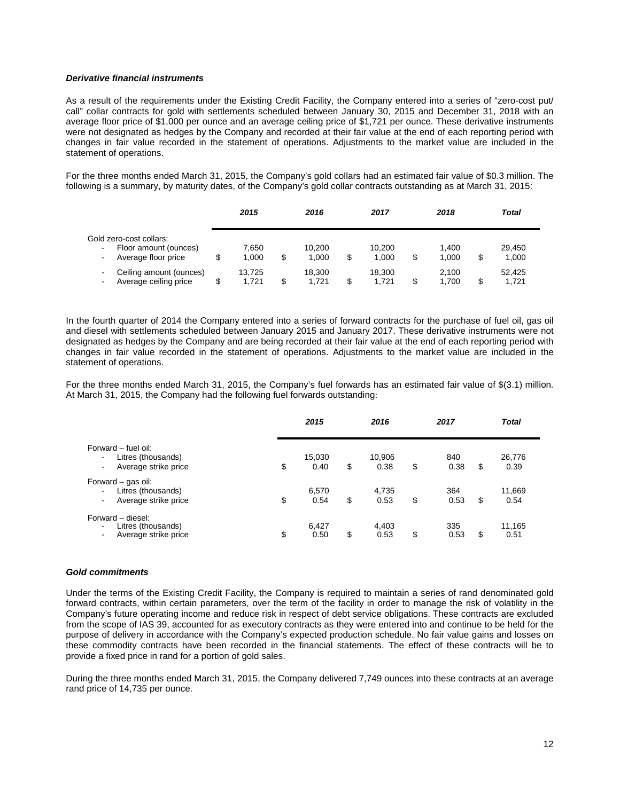#### *Derivative financial instruments*

As a result of the requirements under the Existing Credit Facility, the Company entered into a series of "zero-cost put/ call" collar contracts for gold with settlements scheduled between January 30, 2015 and December 31, 2018 with an average floor price of \$1,000 per ounce and an average ceiling price of \$1,721 per ounce. These derivative instruments were not designated as hedges by the Company and recorded at their fair value at the end of each reporting period with changes in fair value recorded in the statement of operations. Adjustments to the market value are included in the statement of operations.

For the three months ended March 31, 2015, the Company's gold collars had an estimated fair value of \$0.3 million. The following is a summary, by maturity dates, of the Company's gold collar contracts outstanding as at March 31, 2015:

|                                                                                      | 2015            | 2016                  |   | 2017            |    | 2018           |    | Total           |  |
|--------------------------------------------------------------------------------------|-----------------|-----------------------|---|-----------------|----|----------------|----|-----------------|--|
| Gold zero-cost collars:                                                              | 7.650           | 10.200                |   | 10.200          |    | 1.400          |    | 29.450          |  |
| Floor amount (ounces)<br>$\blacksquare$<br>Average floor price<br>$\blacksquare$     | \$<br>1.000     | \$<br>1.000           | S | 1.000           | \$ | 1.000          | \$ | 1,000           |  |
| Ceiling amount (ounces)<br>$\blacksquare$<br>Average ceiling price<br>$\blacksquare$ | 13.725<br>1.721 | \$<br>18.300<br>1.721 |   | 18.300<br>1.721 | S  | 2.100<br>1.700 | S  | 52.425<br>1.721 |  |

In the fourth quarter of 2014 the Company entered into a series of forward contracts for the purchase of fuel oil, gas oil and diesel with settlements scheduled between January 2015 and January 2017. These derivative instruments were not designated as hedges by the Company and are being recorded at their fair value at the end of each reporting period with changes in fair value recorded in the statement of operations. Adjustments to the market value are included in the statement of operations.

For the three months ended March 31, 2015, the Company's fuel forwards has an estimated fair value of \$(3.1) million. At March 31, 2015, the Company had the following fuel forwards outstanding:

|                                                                                                       | 2015                 | 2016                 | 2017              |    | <b>Total</b>   |
|-------------------------------------------------------------------------------------------------------|----------------------|----------------------|-------------------|----|----------------|
| Forward – fuel oil:<br>Litres (thousands)<br>$\blacksquare$<br>Average strike price<br>$\blacksquare$ | \$<br>15,030<br>0.40 | \$<br>10,906<br>0.38 | \$<br>840<br>0.38 | \$ | 26,776<br>0.39 |
| Forward – gas oil:<br>Litres (thousands)<br>Average strike price<br>۰.                                | \$<br>6,570<br>0.54  | \$<br>4,735<br>0.53  | \$<br>364<br>0.53 | S  | 11,669<br>0.54 |
| Forward - diesel:<br>Litres (thousands)<br>$\blacksquare$<br>Average strike price                     | \$<br>6,427<br>0.50  | \$<br>4,403<br>0.53  | \$<br>335<br>0.53 | S  | 11,165<br>0.51 |

#### *Gold commitments*

Under the terms of the Existing Credit Facility, the Company is required to maintain a series of rand denominated gold forward contracts, within certain parameters, over the term of the facility in order to manage the risk of volatility in the Company's future operating income and reduce risk in respect of debt service obligations. These contracts are excluded from the scope of IAS 39, accounted for as executory contracts as they were entered into and continue to be held for the purpose of delivery in accordance with the Company's expected production schedule. No fair value gains and losses on these commodity contracts have been recorded in the financial statements. The effect of these contracts will be to provide a fixed price in rand for a portion of gold sales.

During the three months ended March 31, 2015, the Company delivered 7,749 ounces into these contracts at an average rand price of 14,735 per ounce.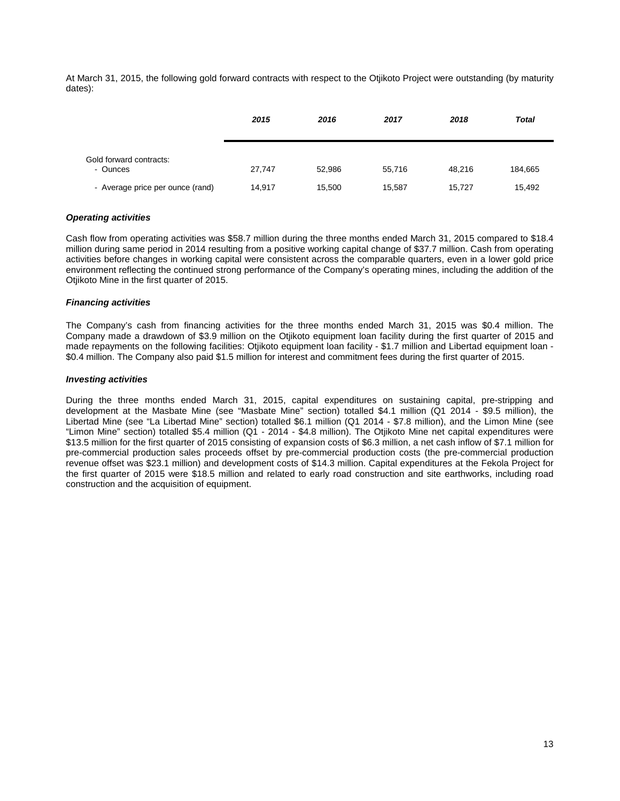At March 31, 2015, the following gold forward contracts with respect to the Otjikoto Project were outstanding (by maturity dates):

|                                     | 2015   | 2016   | 2017   | 2018   | <b>Total</b> |
|-------------------------------------|--------|--------|--------|--------|--------------|
| Gold forward contracts:<br>- Ounces | 27,747 | 52,986 | 55.716 | 48.216 | 184,665      |
| - Average price per ounce (rand)    | 14,917 | 15,500 | 15,587 | 15,727 | 15,492       |

## *Operating activities*

Cash flow from operating activities was \$58.7 million during the three months ended March 31, 2015 compared to \$18.4 million during same period in 2014 resulting from a positive working capital change of \$37.7 million. Cash from operating activities before changes in working capital were consistent across the comparable quarters, even in a lower gold price environment reflecting the continued strong performance of the Company's operating mines, including the addition of the Otiikoto Mine in the first quarter of 2015.

## *Financing activities*

The Company's cash from financing activities for the three months ended March 31, 2015 was \$0.4 million. The Company made a drawdown of \$3.9 million on the Otjikoto equipment loan facility during the first quarter of 2015 and made repayments on the following facilities: Otjikoto equipment loan facility - \$1.7 million and Libertad equipment loan - \$0.4 million. The Company also paid \$1.5 million for interest and commitment fees during the first quarter of 2015.

# *Investing activities*

During the three months ended March 31, 2015, capital expenditures on sustaining capital, pre-stripping and development at the Masbate Mine (see "Masbate Mine" section) totalled \$4.1 million (Q1 2014 - \$9.5 million), the Libertad Mine (see "La Libertad Mine" section) totalled \$6.1 million (Q1 2014 - \$7.8 million), and the Limon Mine (see "Limon Mine" section) totalled \$5.4 million (Q1 - 2014 - \$4.8 million). The Otjikoto Mine net capital expenditures were \$13.5 million for the first quarter of 2015 consisting of expansion costs of \$6.3 million, a net cash inflow of \$7.1 million for pre-commercial production sales proceeds offset by pre-commercial production costs (the pre-commercial production revenue offset was \$23.1 million) and development costs of \$14.3 million. Capital expenditures at the Fekola Project for the first quarter of 2015 were \$18.5 million and related to early road construction and site earthworks, including road construction and the acquisition of equipment.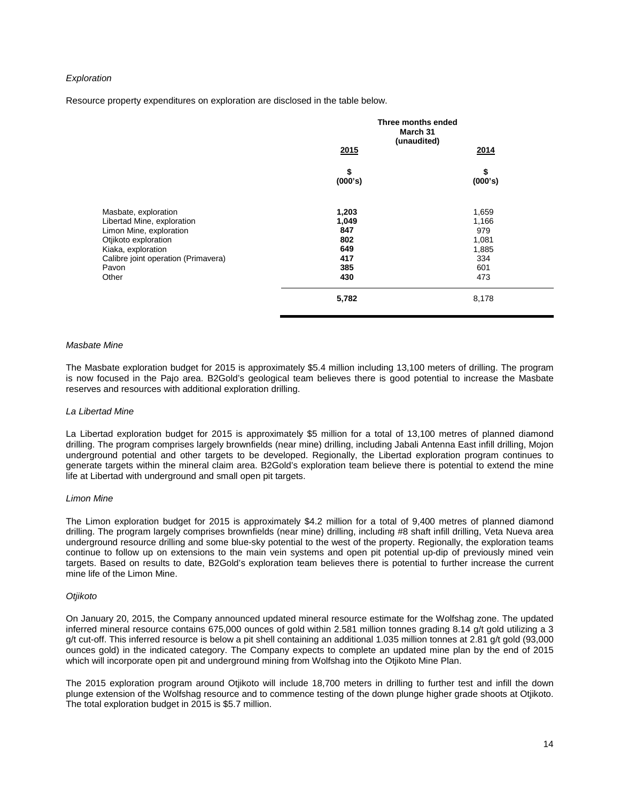## *Exploration*

Resource property expenditures on exploration are disclosed in the table below.

|                                                                                                                                                                                      | Three months ended<br>March 31<br>(unaudited)<br>2015<br>2014 |                                                              |
|--------------------------------------------------------------------------------------------------------------------------------------------------------------------------------------|---------------------------------------------------------------|--------------------------------------------------------------|
|                                                                                                                                                                                      | \$<br>(000's)                                                 | \$<br>(000's)                                                |
| Masbate, exploration<br>Libertad Mine, exploration<br>Limon Mine, exploration<br>Otjikoto exploration<br>Kiaka, exploration<br>Calibre joint operation (Primavera)<br>Pavon<br>Other | 1,203<br>1,049<br>847<br>802<br>649<br>417<br>385<br>430      | 1,659<br>1,166<br>979<br>1,081<br>1,885<br>334<br>601<br>473 |
|                                                                                                                                                                                      | 5,782                                                         | 8,178                                                        |

#### *Masbate Mine*

The Masbate exploration budget for 2015 is approximately \$5.4 million including 13,100 meters of drilling. The program is now focused in the Pajo area. B2Gold's geological team believes there is good potential to increase the Masbate reserves and resources with additional exploration drilling.

#### *La Libertad Mine*

La Libertad exploration budget for 2015 is approximately \$5 million for a total of 13,100 metres of planned diamond drilling. The program comprises largely brownfields (near mine) drilling, including Jabali Antenna East infill drilling, Mojon underground potential and other targets to be developed. Regionally, the Libertad exploration program continues to generate targets within the mineral claim area. B2Gold's exploration team believe there is potential to extend the mine life at Libertad with underground and small open pit targets.

#### *Limon Mine*

The Limon exploration budget for 2015 is approximately \$4.2 million for a total of 9,400 metres of planned diamond drilling. The program largely comprises brownfields (near mine) drilling, including #8 shaft infill drilling, Veta Nueva area underground resource drilling and some blue-sky potential to the west of the property. Regionally, the exploration teams continue to follow up on extensions to the main vein systems and open pit potential up-dip of previously mined vein targets. Based on results to date, B2Gold's exploration team believes there is potential to further increase the current mine life of the Limon Mine.

#### *Otjikoto*

On January 20, 2015, the Company announced updated mineral resource estimate for the Wolfshag zone. The updated inferred mineral resource contains 675,000 ounces of gold within 2.581 million tonnes grading 8.14 g/t gold utilizing a 3 g/t cut-off. This inferred resource is below a pit shell containing an additional 1.035 million tonnes at 2.81 g/t gold (93,000 ounces gold) in the indicated category. The Company expects to complete an updated mine plan by the end of 2015 which will incorporate open pit and underground mining from Wolfshag into the Otjikoto Mine Plan.

The 2015 exploration program around Otjikoto will include 18,700 meters in drilling to further test and infill the down plunge extension of the Wolfshag resource and to commence testing of the down plunge higher grade shoots at Otjikoto. The total exploration budget in 2015 is \$5.7 million.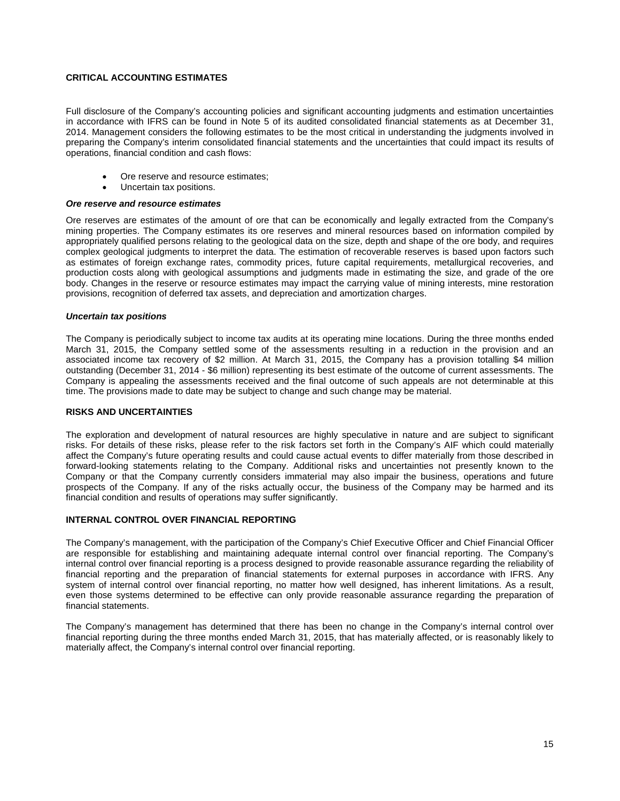# **CRITICAL ACCOUNTING ESTIMATES**

Full disclosure of the Company's accounting policies and significant accounting judgments and estimation uncertainties in accordance with IFRS can be found in Note 5 of its audited consolidated financial statements as at December 31, 2014. Management considers the following estimates to be the most critical in understanding the judgments involved in preparing the Company's interim consolidated financial statements and the uncertainties that could impact its results of operations, financial condition and cash flows:

- Ore reserve and resource estimates;
- Uncertain tax positions.

## *Ore reserve and resource estimates*

Ore reserves are estimates of the amount of ore that can be economically and legally extracted from the Company's mining properties. The Company estimates its ore reserves and mineral resources based on information compiled by appropriately qualified persons relating to the geological data on the size, depth and shape of the ore body, and requires complex geological judgments to interpret the data. The estimation of recoverable reserves is based upon factors such as estimates of foreign exchange rates, commodity prices, future capital requirements, metallurgical recoveries, and production costs along with geological assumptions and judgments made in estimating the size, and grade of the ore body. Changes in the reserve or resource estimates may impact the carrying value of mining interests, mine restoration provisions, recognition of deferred tax assets, and depreciation and amortization charges.

## *Uncertain tax positions*

The Company is periodically subject to income tax audits at its operating mine locations. During the three months ended March 31, 2015, the Company settled some of the assessments resulting in a reduction in the provision and an associated income tax recovery of \$2 million. At March 31, 2015, the Company has a provision totalling \$4 million outstanding (December 31, 2014 - \$6 million) representing its best estimate of the outcome of current assessments. The Company is appealing the assessments received and the final outcome of such appeals are not determinable at this time. The provisions made to date may be subject to change and such change may be material.

# **RISKS AND UNCERTAINTIES**

The exploration and development of natural resources are highly speculative in nature and are subject to significant risks. For details of these risks, please refer to the risk factors set forth in the Company's AIF which could materially affect the Company's future operating results and could cause actual events to differ materially from those described in forward-looking statements relating to the Company. Additional risks and uncertainties not presently known to the Company or that the Company currently considers immaterial may also impair the business, operations and future prospects of the Company. If any of the risks actually occur, the business of the Company may be harmed and its financial condition and results of operations may suffer significantly.

## **INTERNAL CONTROL OVER FINANCIAL REPORTING**

The Company's management, with the participation of the Company's Chief Executive Officer and Chief Financial Officer are responsible for establishing and maintaining adequate internal control over financial reporting. The Company's internal control over financial reporting is a process designed to provide reasonable assurance regarding the reliability of financial reporting and the preparation of financial statements for external purposes in accordance with IFRS. Any system of internal control over financial reporting, no matter how well designed, has inherent limitations. As a result, even those systems determined to be effective can only provide reasonable assurance regarding the preparation of financial statements.

The Company's management has determined that there has been no change in the Company's internal control over financial reporting during the three months ended March 31, 2015, that has materially affected, or is reasonably likely to materially affect, the Company's internal control over financial reporting.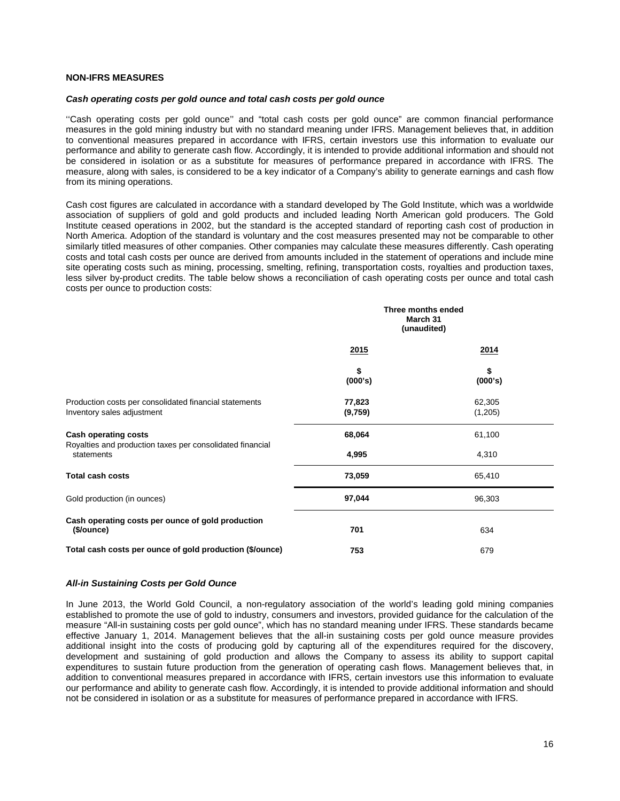## **NON-IFRS MEASURES**

#### *Cash operating costs per gold ounce and total cash costs per gold ounce*

''Cash operating costs per gold ounce'' and "total cash costs per gold ounce" are common financial performance measures in the gold mining industry but with no standard meaning under IFRS. Management believes that, in addition to conventional measures prepared in accordance with IFRS, certain investors use this information to evaluate our performance and ability to generate cash flow. Accordingly, it is intended to provide additional information and should not be considered in isolation or as a substitute for measures of performance prepared in accordance with IFRS. The measure, along with sales, is considered to be a key indicator of a Company's ability to generate earnings and cash flow from its mining operations.

Cash cost figures are calculated in accordance with a standard developed by The Gold Institute, which was a worldwide association of suppliers of gold and gold products and included leading North American gold producers. The Gold Institute ceased operations in 2002, but the standard is the accepted standard of reporting cash cost of production in North America. Adoption of the standard is voluntary and the cost measures presented may not be comparable to other similarly titled measures of other companies. Other companies may calculate these measures differently. Cash operating costs and total cash costs per ounce are derived from amounts included in the statement of operations and include mine site operating costs such as mining, processing, smelting, refining, transportation costs, royalties and production taxes, less silver by-product credits. The table below shows a reconciliation of cash operating costs per ounce and total cash costs per ounce to production costs:

|                                                                                          |                   | Three months ended<br>March 31<br>(unaudited) |  |  |
|------------------------------------------------------------------------------------------|-------------------|-----------------------------------------------|--|--|
|                                                                                          | 2015              | 2014                                          |  |  |
|                                                                                          | \$<br>(000's)     | \$<br>(000's)                                 |  |  |
| Production costs per consolidated financial statements<br>Inventory sales adjustment     | 77,823<br>(9,759) | 62,305<br>(1,205)                             |  |  |
| <b>Cash operating costs</b><br>Royalties and production taxes per consolidated financial | 68,064            | 61,100                                        |  |  |
| statements                                                                               | 4,995             | 4,310                                         |  |  |
| <b>Total cash costs</b>                                                                  | 73,059            | 65,410                                        |  |  |
| Gold production (in ounces)                                                              | 97,044            | 96,303                                        |  |  |
| Cash operating costs per ounce of gold production<br>(\$/ounce)                          | 701               | 634                                           |  |  |
| Total cash costs per ounce of gold production (\$/ounce)                                 | 753               | 679                                           |  |  |

## *All-in Sustaining Costs per Gold Ounce*

In June 2013, the World Gold Council, a non-regulatory association of the world's leading gold mining companies established to promote the use of gold to industry, consumers and investors, provided guidance for the calculation of the measure "All-in sustaining costs per gold ounce", which has no standard meaning under IFRS. These standards became effective January 1, 2014. Management believes that the all-in sustaining costs per gold ounce measure provides additional insight into the costs of producing gold by capturing all of the expenditures required for the discovery, development and sustaining of gold production and allows the Company to assess its ability to support capital expenditures to sustain future production from the generation of operating cash flows. Management believes that, in addition to conventional measures prepared in accordance with IFRS, certain investors use this information to evaluate our performance and ability to generate cash flow. Accordingly, it is intended to provide additional information and should not be considered in isolation or as a substitute for measures of performance prepared in accordance with IFRS.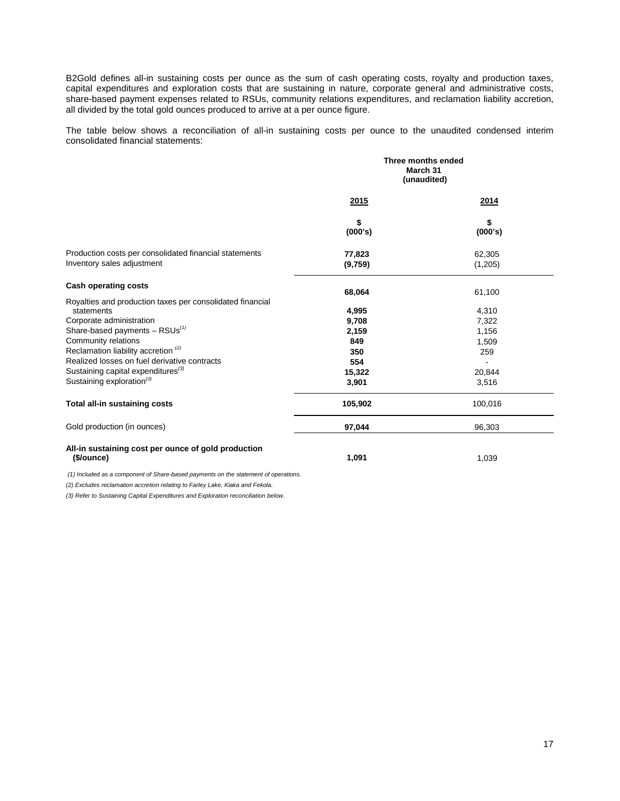B2Gold defines all-in sustaining costs per ounce as the sum of cash operating costs, royalty and production taxes, capital expenditures and exploration costs that are sustaining in nature, corporate general and administrative costs, share-based payment expenses related to RSUs, community relations expenditures, and reclamation liability accretion, all divided by the total gold ounces produced to arrive at a per ounce figure.

The table below shows a reconciliation of all-in sustaining costs per ounce to the unaudited condensed interim consolidated financial statements:

|                                                                                      | Three months ended<br>March 31<br>(unaudited) |                   |  |
|--------------------------------------------------------------------------------------|-----------------------------------------------|-------------------|--|
|                                                                                      | 2015                                          | 2014              |  |
|                                                                                      | \$<br>(000's)                                 | \$<br>(000's)     |  |
| Production costs per consolidated financial statements<br>Inventory sales adjustment | 77,823<br>(9,759)                             | 62,305<br>(1,205) |  |
| <b>Cash operating costs</b>                                                          | 68,064                                        | 61,100            |  |
| Royalties and production taxes per consolidated financial                            |                                               |                   |  |
| statements                                                                           | 4,995                                         | 4,310             |  |
| Corporate administration                                                             | 9,708                                         | 7,322             |  |
| Share-based payments $-$ RSUs <sup>(1)</sup>                                         | 2,159                                         | 1,156             |  |
| Community relations                                                                  | 849                                           | 1,509             |  |
| Reclamation liability accretion <sup>(2)</sup>                                       | 350                                           | 259               |  |
| Realized losses on fuel derivative contracts                                         | 554                                           |                   |  |
| Sustaining capital expenditures <sup>(3)</sup>                                       | 15,322                                        | 20,844            |  |
| Sustaining exploration <sup>(3)</sup>                                                | 3,901                                         | 3,516             |  |
| Total all-in sustaining costs                                                        | 105,902                                       | 100,016           |  |
| Gold production (in ounces)                                                          | 97,044                                        | 96,303            |  |
| All-in sustaining cost per ounce of gold production<br>(\$/ounce)                    | 1,091                                         | 1,039             |  |

*(1) Included as a component of Share-based payments on the statement of operations.* 

*(2) Excludes reclamation accretion relating to Farley Lake, Kiaka and Fekola.*

*(3) Refer to Sustaining Capital Expenditures and Exploration reconciliation below.*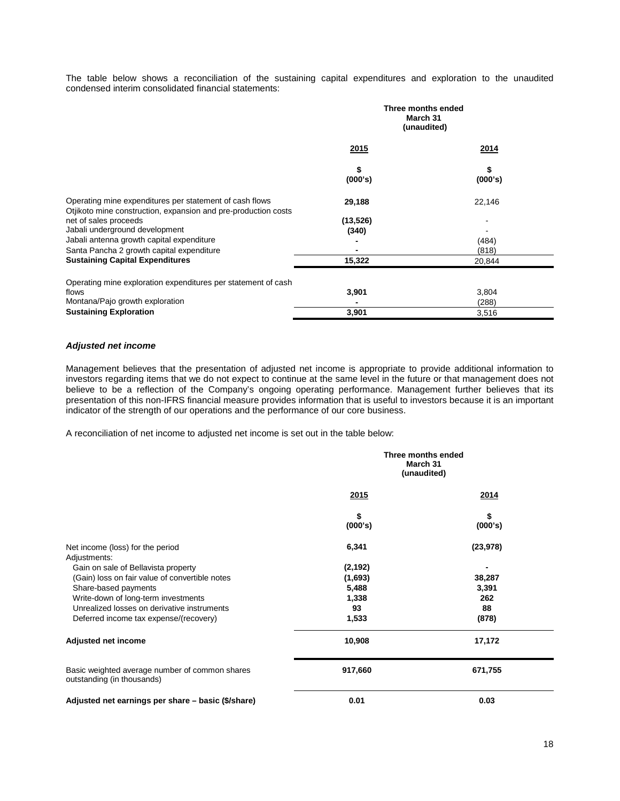The table below shows a reconciliation of the sustaining capital expenditures and exploration to the unaudited condensed interim consolidated financial statements:

|                                                                                                                           | Three months ended<br>March 31<br>(unaudited) |               |  |
|---------------------------------------------------------------------------------------------------------------------------|-----------------------------------------------|---------------|--|
|                                                                                                                           | 2015                                          | 2014          |  |
|                                                                                                                           | \$<br>(000's)                                 | \$<br>(000's) |  |
| Operating mine expenditures per statement of cash flows<br>Otjikoto mine construction, expansion and pre-production costs | 29,188                                        | 22,146        |  |
| net of sales proceeds                                                                                                     | (13, 526)                                     |               |  |
| Jabali underground development                                                                                            | (340)                                         |               |  |
| Jabali antenna growth capital expenditure                                                                                 |                                               | (484)         |  |
| Santa Pancha 2 growth capital expenditure                                                                                 |                                               | (818)         |  |
| <b>Sustaining Capital Expenditures</b>                                                                                    | 15,322                                        | 20,844        |  |
| Operating mine exploration expenditures per statement of cash                                                             |                                               |               |  |
| flows                                                                                                                     | 3,901                                         | 3,804         |  |
| Montana/Pajo growth exploration                                                                                           |                                               | (288)         |  |
| <b>Sustaining Exploration</b>                                                                                             | 3,901                                         | 3,516         |  |

## *Adjusted net income*

Management believes that the presentation of adjusted net income is appropriate to provide additional information to investors regarding items that we do not expect to continue at the same level in the future or that management does not believe to be a reflection of the Company's ongoing operating performance. Management further believes that its presentation of this non-IFRS financial measure provides information that is useful to investors because it is an important indicator of the strength of our operations and the performance of our core business.

A reconciliation of net income to adjusted net income is set out in the table below:

|                                                                              |               | Three months ended<br>March 31<br>(unaudited) |
|------------------------------------------------------------------------------|---------------|-----------------------------------------------|
|                                                                              | 2015          | 2014                                          |
|                                                                              | \$<br>(000's) | \$<br>(000's)                                 |
| Net income (loss) for the period<br>Adjustments:                             | 6,341         | (23, 978)                                     |
| Gain on sale of Bellavista property                                          | (2, 192)      |                                               |
| (Gain) loss on fair value of convertible notes                               | (1,693)       | 38,287                                        |
| Share-based payments                                                         | 5,488         | 3,391                                         |
| Write-down of long-term investments                                          | 1,338         | 262                                           |
| Unrealized losses on derivative instruments                                  | 93            | 88                                            |
| Deferred income tax expense/(recovery)                                       | 1,533         | (878)                                         |
| Adjusted net income                                                          | 10,908        | 17,172                                        |
| Basic weighted average number of common shares<br>outstanding (in thousands) | 917,660       | 671,755                                       |
| Adjusted net earnings per share - basic (\$/share)                           | 0.01          | 0.03                                          |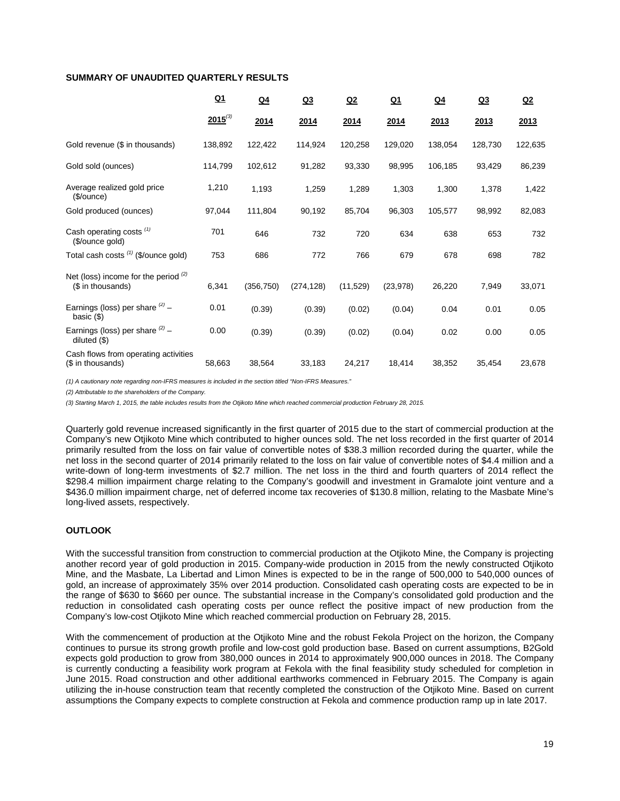## **SUMMARY OF UNAUDITED QUARTERLY RESULTS**

|                                                             | $Q_1$        | $Q_4$      | Q <sub>3</sub> | Q2        | <u>Q1</u> | $Q_4$   | Q <sub>3</sub> | Q2      |
|-------------------------------------------------------------|--------------|------------|----------------|-----------|-----------|---------|----------------|---------|
|                                                             | $2015^{(3)}$ | 2014       | 2014           | 2014      | 2014      | 2013    | 2013           | 2013    |
| Gold revenue (\$ in thousands)                              | 138,892      | 122,422    | 114,924        | 120,258   | 129,020   | 138,054 | 128,730        | 122,635 |
| Gold sold (ounces)                                          | 114,799      | 102,612    | 91,282         | 93,330    | 98,995    | 106,185 | 93,429         | 86,239  |
| Average realized gold price<br>(\$/ounce)                   | 1,210        | 1,193      | 1,259          | 1,289     | 1,303     | 1,300   | 1,378          | 1,422   |
| Gold produced (ounces)                                      | 97,044       | 111,804    | 90,192         | 85,704    | 96,303    | 105,577 | 98,992         | 82,083  |
| Cash operating costs <sup>(1)</sup><br>(\$/ounce gold)      | 701          | 646        | 732            | 720       | 634       | 638     | 653            | 732     |
| Total cash costs (1) (\$/ounce gold)                        | 753          | 686        | 772            | 766       | 679       | 678     | 698            | 782     |
| Net (loss) income for the period $(2)$<br>(\$ in thousands) | 6,341        | (356, 750) | (274, 128)     | (11, 529) | (23, 978) | 26,220  | 7,949          | 33,071  |
| Earnings (loss) per share $(2)$ -<br>basic $(\$)$           | 0.01         | (0.39)     | (0.39)         | (0.02)    | (0.04)    | 0.04    | 0.01           | 0.05    |
| Earnings (loss) per share $^{(2)}$ -<br>diluted $(\$)$      | 0.00         | (0.39)     | (0.39)         | (0.02)    | (0.04)    | 0.02    | 0.00           | 0.05    |
| Cash flows from operating activities<br>(\$ in thousands)   | 58,663       | 38,564     | 33,183         | 24,217    | 18,414    | 38,352  | 35,454         | 23,678  |

*(1) A cautionary note regarding non-IFRS measures is included in the section titled "Non-IFRS Measures."* 

*(2) Attributable to the shareholders of the Company.*

*(3) Starting March 1, 2015, the table includes results from the Otjikoto Mine which reached commercial production February 28, 2015.*

Quarterly gold revenue increased significantly in the first quarter of 2015 due to the start of commercial production at the Company's new Otjikoto Mine which contributed to higher ounces sold. The net loss recorded in the first quarter of 2014 primarily resulted from the loss on fair value of convertible notes of \$38.3 million recorded during the quarter, while the net loss in the second quarter of 2014 primarily related to the loss on fair value of convertible notes of \$4.4 million and a write-down of long-term investments of \$2.7 million. The net loss in the third and fourth quarters of 2014 reflect the \$298.4 million impairment charge relating to the Company's goodwill and investment in Gramalote joint venture and a \$436.0 million impairment charge, net of deferred income tax recoveries of \$130.8 million, relating to the Masbate Mine's long-lived assets, respectively.

## **OUTLOOK**

With the successful transition from construction to commercial production at the Otjikoto Mine, the Company is projecting another record year of gold production in 2015. Company-wide production in 2015 from the newly constructed Otjikoto Mine, and the Masbate, La Libertad and Limon Mines is expected to be in the range of 500,000 to 540,000 ounces of gold, an increase of approximately 35% over 2014 production. Consolidated cash operating costs are expected to be in the range of \$630 to \$660 per ounce. The substantial increase in the Company's consolidated gold production and the reduction in consolidated cash operating costs per ounce reflect the positive impact of new production from the Company's low-cost Otjikoto Mine which reached commercial production on February 28, 2015.

With the commencement of production at the Otjikoto Mine and the robust Fekola Project on the horizon, the Company continues to pursue its strong growth profile and low-cost gold production base. Based on current assumptions, B2Gold expects gold production to grow from 380,000 ounces in 2014 to approximately 900,000 ounces in 2018. The Company is currently conducting a feasibility work program at Fekola with the final feasibility study scheduled for completion in June 2015. Road construction and other additional earthworks commenced in February 2015. The Company is again utilizing the in-house construction team that recently completed the construction of the Otjikoto Mine. Based on current assumptions the Company expects to complete construction at Fekola and commence production ramp up in late 2017.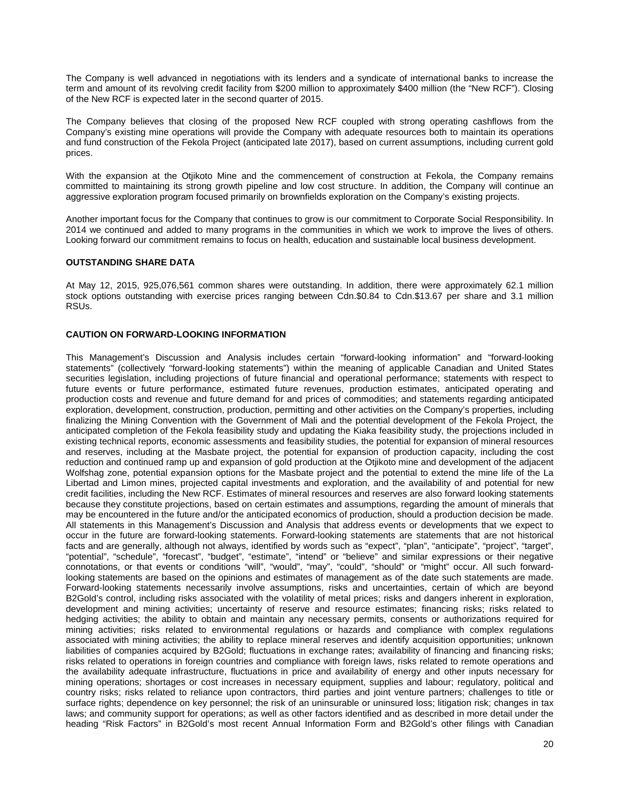The Company is well advanced in negotiations with its lenders and a syndicate of international banks to increase the term and amount of its revolving credit facility from \$200 million to approximately \$400 million (the "New RCF"). Closing of the New RCF is expected later in the second quarter of 2015.

The Company believes that closing of the proposed New RCF coupled with strong operating cashflows from the Company's existing mine operations will provide the Company with adequate resources both to maintain its operations and fund construction of the Fekola Project (anticipated late 2017), based on current assumptions, including current gold prices.

With the expansion at the Otjikoto Mine and the commencement of construction at Fekola, the Company remains committed to maintaining its strong growth pipeline and low cost structure. In addition, the Company will continue an aggressive exploration program focused primarily on brownfields exploration on the Company's existing projects.

Another important focus for the Company that continues to grow is our commitment to Corporate Social Responsibility. In 2014 we continued and added to many programs in the communities in which we work to improve the lives of others. Looking forward our commitment remains to focus on health, education and sustainable local business development.

# **OUTSTANDING SHARE DATA**

At May 12, 2015, 925,076,561 common shares were outstanding. In addition, there were approximately 62.1 million stock options outstanding with exercise prices ranging between Cdn.\$0.84 to Cdn.\$13.67 per share and 3.1 million RSUs.

# **CAUTION ON FORWARD-LOOKING INFORMATION**

This Management's Discussion and Analysis includes certain "forward-looking information" and "forward-looking statements" (collectively "forward-looking statements") within the meaning of applicable Canadian and United States securities legislation, including projections of future financial and operational performance; statements with respect to future events or future performance, estimated future revenues, production estimates, anticipated operating and production costs and revenue and future demand for and prices of commodities; and statements regarding anticipated exploration, development, construction, production, permitting and other activities on the Company's properties, including finalizing the Mining Convention with the Government of Mali and the potential development of the Fekola Project, the anticipated completion of the Fekola feasibility study and updating the Kiaka feasibility study, the projections included in existing technical reports, economic assessments and feasibility studies, the potential for expansion of mineral resources and reserves, including at the Masbate project, the potential for expansion of production capacity, including the cost reduction and continued ramp up and expansion of gold production at the Otjikoto mine and development of the adjacent Wolfshag zone, potential expansion options for the Masbate project and the potential to extend the mine life of the La Libertad and Limon mines, projected capital investments and exploration, and the availability of and potential for new credit facilities, including the New RCF. Estimates of mineral resources and reserves are also forward looking statements because they constitute projections, based on certain estimates and assumptions, regarding the amount of minerals that may be encountered in the future and/or the anticipated economics of production, should a production decision be made. All statements in this Management's Discussion and Analysis that address events or developments that we expect to occur in the future are forward-looking statements. Forward-looking statements are statements that are not historical facts and are generally, although not always, identified by words such as "expect", "plan", "anticipate", "project", "target", "potential", "schedule", "forecast", "budget", "estimate", "intend" or "believe" and similar expressions or their negative connotations, or that events or conditions "will", "would", "may", "could", "should" or "might" occur. All such forwardlooking statements are based on the opinions and estimates of management as of the date such statements are made. Forward-looking statements necessarily involve assumptions, risks and uncertainties, certain of which are beyond B2Gold's control, including risks associated with the volatility of metal prices; risks and dangers inherent in exploration, development and mining activities; uncertainty of reserve and resource estimates; financing risks; risks related to hedging activities; the ability to obtain and maintain any necessary permits, consents or authorizations required for mining activities; risks related to environmental regulations or hazards and compliance with complex regulations associated with mining activities; the ability to replace mineral reserves and identify acquisition opportunities; unknown liabilities of companies acquired by B2Gold; fluctuations in exchange rates; availability of financing and financing risks; risks related to operations in foreign countries and compliance with foreign laws, risks related to remote operations and the availability adequate infrastructure, fluctuations in price and availability of energy and other inputs necessary for mining operations; shortages or cost increases in necessary equipment, supplies and labour; regulatory, political and country risks; risks related to reliance upon contractors, third parties and joint venture partners; challenges to title or surface rights; dependence on key personnel; the risk of an uninsurable or uninsured loss; litigation risk; changes in tax laws; and community support for operations; as well as other factors identified and as described in more detail under the heading "Risk Factors" in B2Gold's most recent Annual Information Form and B2Gold's other filings with Canadian